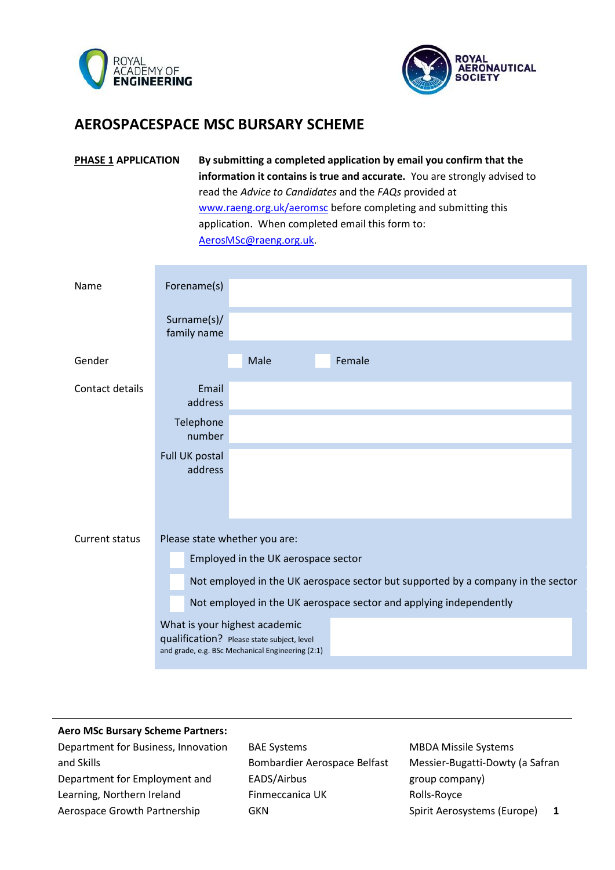



## **AEROSPACESPACE MSC BURSARY SCHEME**

| PHASE 1 APPLICATION | By submitting a completed application by email you confirm that the       |  |  |  |  |
|---------------------|---------------------------------------------------------------------------|--|--|--|--|
|                     | information it contains is true and accurate. You are strongly advised to |  |  |  |  |
|                     | read the Advice to Candidates and the FAQs provided at                    |  |  |  |  |
|                     | www.raeng.org.uk/aeromsc before completing and submitting this            |  |  |  |  |
|                     | application. When completed email this form to:                           |  |  |  |  |
|                     | AerosMSc@raeng.org.uk                                                     |  |  |  |  |

| Name            | Forename(s)                                                                                                                     |  |  |  |  |
|-----------------|---------------------------------------------------------------------------------------------------------------------------------|--|--|--|--|
|                 | Surname(s)/<br>family name                                                                                                      |  |  |  |  |
| Gender          | Female<br>Male                                                                                                                  |  |  |  |  |
| Contact details | Email<br>address                                                                                                                |  |  |  |  |
|                 | Telephone<br>number                                                                                                             |  |  |  |  |
|                 | Full UK postal<br>address                                                                                                       |  |  |  |  |
| Current status  | Please state whether you are:                                                                                                   |  |  |  |  |
|                 | Employed in the UK aerospace sector                                                                                             |  |  |  |  |
|                 | Not employed in the UK aerospace sector but supported by a company in the sector                                                |  |  |  |  |
|                 | Not employed in the UK aerospace sector and applying independently                                                              |  |  |  |  |
|                 | What is your highest academic<br>qualification? Please state subject, level<br>and grade, e.g. BSc Mechanical Engineering (2:1) |  |  |  |  |

## **Aero MSc Bursary Scheme Partners:**

Department for Business, Innovation and Skills Department for Employment and Learning, Northern Ireland Aerospace Growth Partnership

BAE Systems Bombardier Aerospace Belfast EADS/Airbus Finmeccanica UK GKN

MBDA Missile Systems Messier-Bugatti-Dowty (a Safran group company) Rolls-Royce Spirit Aerosystems (Europe) **1**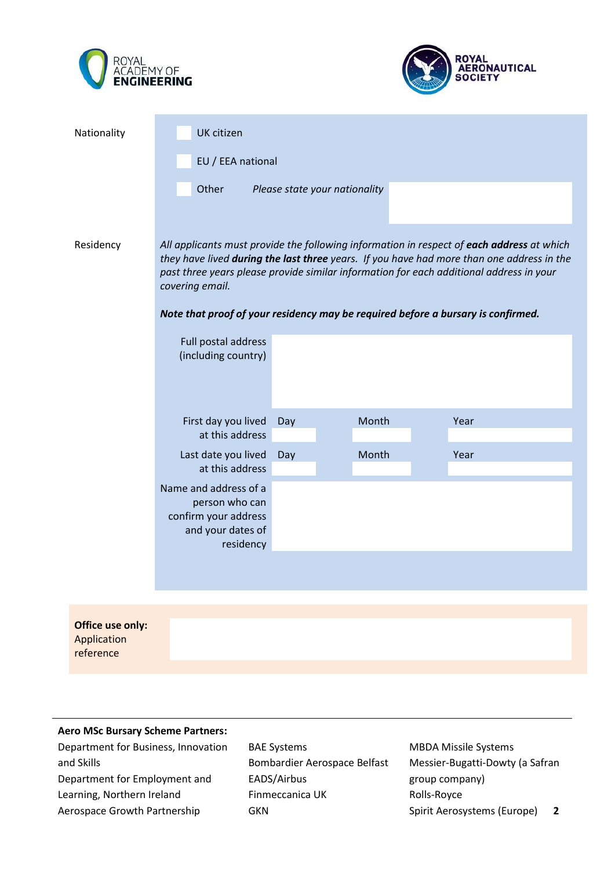



| Nationality                                  | UK citizen                                                                                                                                                                                                                                                                                           |                               |       |      |  |  |  |
|----------------------------------------------|------------------------------------------------------------------------------------------------------------------------------------------------------------------------------------------------------------------------------------------------------------------------------------------------------|-------------------------------|-------|------|--|--|--|
|                                              | EU / EEA national                                                                                                                                                                                                                                                                                    |                               |       |      |  |  |  |
|                                              | Other                                                                                                                                                                                                                                                                                                | Please state your nationality |       |      |  |  |  |
| Residency                                    | All applicants must provide the following information in respect of each address at which<br>they have lived during the last three years. If you have had more than one address in the<br>past three years please provide similar information for each additional address in your<br>covering email. |                               |       |      |  |  |  |
|                                              | Note that proof of your residency may be required before a bursary is confirmed.                                                                                                                                                                                                                     |                               |       |      |  |  |  |
|                                              | Full postal address<br>(including country)                                                                                                                                                                                                                                                           |                               |       |      |  |  |  |
|                                              | First day you lived<br>at this address                                                                                                                                                                                                                                                               | Day                           | Month | Year |  |  |  |
|                                              | Last date you lived<br>at this address                                                                                                                                                                                                                                                               | Day                           | Month | Year |  |  |  |
|                                              | Name and address of a<br>person who can<br>confirm your address<br>and your dates of<br>residency                                                                                                                                                                                                    |                               |       |      |  |  |  |
|                                              |                                                                                                                                                                                                                                                                                                      |                               |       |      |  |  |  |
| Office use only:<br>Application<br>reference |                                                                                                                                                                                                                                                                                                      |                               |       |      |  |  |  |

## **Aero MSc Bursary Scheme Partners:**

Department for Business, Innovation and Skills Department for Employment and Learning, Northern Ireland Aerospace Growth Partnership

BAE Systems Bombardier Aerospace Belfast EADS/Airbus Finmeccanica UK GKN

MBDA Missile Systems Messier-Bugatti-Dowty (a Safran group company) Rolls-Royce Spirit Aerosystems (Europe) **2**